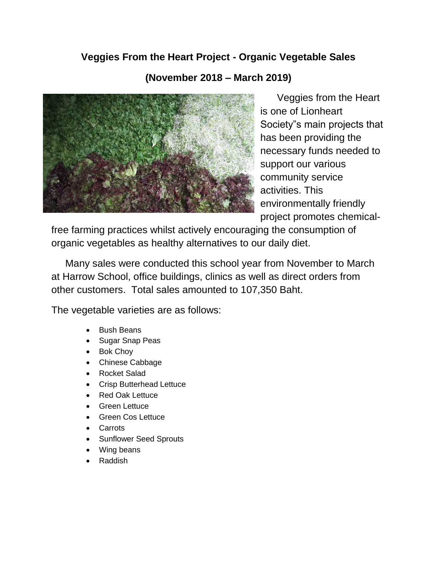## **Veggies From the Heart Project - Organic Vegetable Sales**

## **(November 2018 – March 2019)**



Veggies from the Heart is one of Lionheart Society"s main projects that has been providing the necessary funds needed to support our various community service activities. This environmentally friendly project promotes chemical-

free farming practices whilst actively encouraging the consumption of organic vegetables as healthy alternatives to our daily diet.

 Many sales were conducted this school year from November to March at Harrow School, office buildings, clinics as well as direct orders from other customers. Total sales amounted to 107,350 Baht.

The vegetable varieties are as follows:

- Bush Beans
- Sugar Snap Peas
- Bok Choy
- Chinese Cabbage
- Rocket Salad
- Crisp Butterhead Lettuce
- Red Oak Lettuce
- Green Lettuce
- Green Cos Lettuce
- Carrots
- **Sunflower Seed Sprouts**
- Wing beans
- Raddish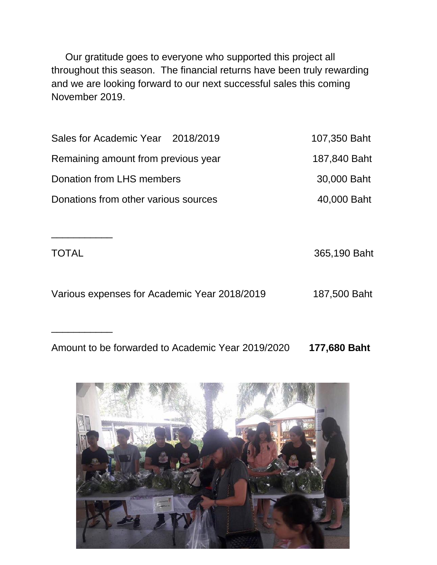Our gratitude goes to everyone who supported this project all throughout this season. The financial returns have been truly rewarding and we are looking forward to our next successful sales this coming November 2019.

| Sales for Academic Year 2018/2019    | 107,350 Baht |
|--------------------------------------|--------------|
| Remaining amount from previous year  | 187,840 Baht |
| Donation from LHS members            | 30,000 Baht  |
| Donations from other various sources | 40,000 Baht  |

TOTAL 365,190 Baht Various expenses for Academic Year 2018/2019 187,500 Baht

\_\_\_\_\_\_\_\_\_\_\_

\_\_\_\_\_\_\_\_\_\_\_

Amount to be forwarded to Academic Year 2019/2020 **177,680 Baht**

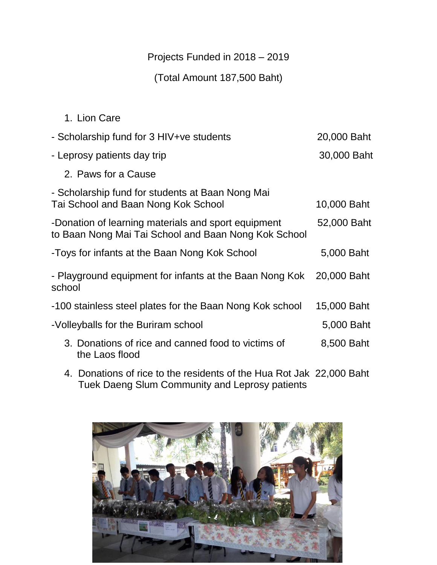## Projects Funded in 2018 – 2019

(Total Amount 187,500 Baht)

| 1. Lion Care                                                                                                |             |
|-------------------------------------------------------------------------------------------------------------|-------------|
| - Scholarship fund for 3 HIV+ve students                                                                    | 20,000 Baht |
| - Leprosy patients day trip                                                                                 | 30,000 Baht |
| 2. Paws for a Cause                                                                                         |             |
| - Scholarship fund for students at Baan Nong Mai<br>Tai School and Baan Nong Kok School                     | 10,000 Baht |
| -Donation of learning materials and sport equipment<br>to Baan Nong Mai Tai School and Baan Nong Kok School | 52,000 Baht |
| -Toys for infants at the Baan Nong Kok School                                                               | 5,000 Baht  |
| - Playground equipment for infants at the Baan Nong Kok<br>school                                           | 20,000 Baht |
| -100 stainless steel plates for the Baan Nong Kok school                                                    | 15,000 Baht |
| -Volleyballs for the Buriram school                                                                         | 5,000 Baht  |
| 3. Donations of rice and canned food to victims of<br>the Laos flood                                        | 8,500 Baht  |
|                                                                                                             |             |

4. Donations of rice to the residents of the Hua Rot Jak 22,000 Baht Tuek Daeng Slum Community and Leprosy patients

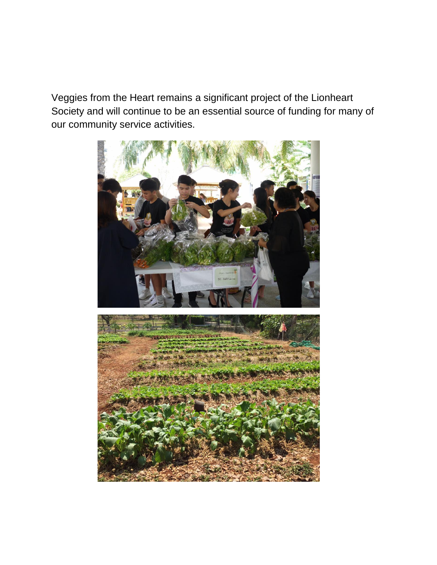Veggies from the Heart remains a significant project of the Lionheart Society and will continue to be an essential source of funding for many of our community service activities.